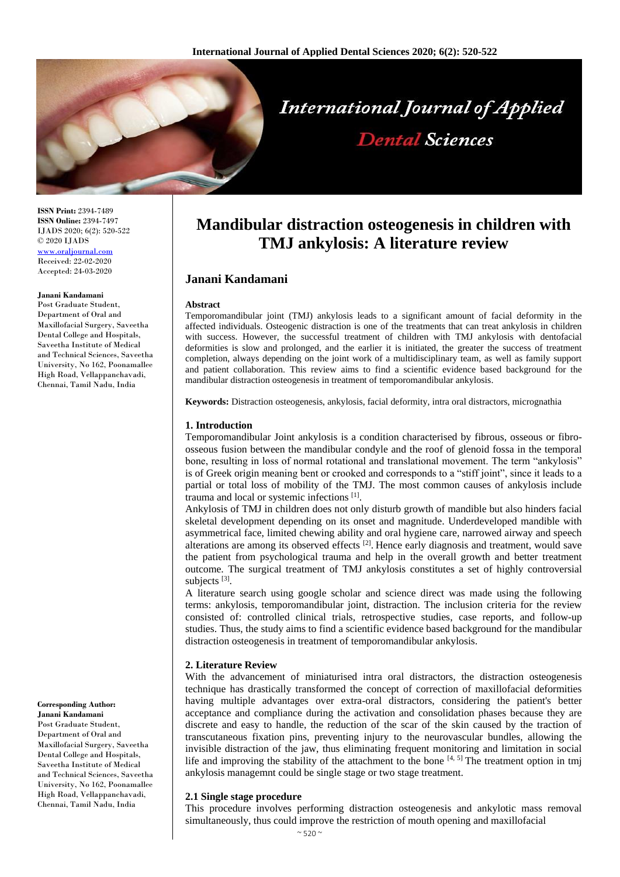

**ISSN Print:** 2394-7489 **ISSN Online:** 2394-7497 IJADS 2020; 6(2): 520-522 © 2020 IJADS <www.oraljournal.com> Received: 22-02-2020 Accepted: 24-03-2020

#### **Janani Kandamani**

Post Graduate Student, Department of Oral and Maxillofacial Surgery, Saveetha Dental College and Hospitals, Saveetha Institute of Medical and Technical Sciences, Saveetha University, No 162, Poonamallee High Road, Vellappanchavadi, Chennai, Tamil Nadu, India

**Corresponding Author: Janani Kandamani** Post Graduate Student, Department of Oral and Maxillofacial Surgery, Saveetha Dental College and Hospitals, Saveetha Institute of Medical and Technical Sciences, Saveetha University, No 162, Poonamallee High Road, Vellappanchavadi, Chennai, Tamil Nadu, India

# **Mandibular distraction osteogenesis in children with TMJ ankylosis: A literature review**

## **Janani Kandamani**

#### **Abstract**

Temporomandibular joint (TMJ) ankylosis leads to a significant amount of facial deformity in the affected individuals. Osteogenic distraction is one of the treatments that can treat ankylosis in children with success. However, the successful treatment of children with TMJ ankylosis with dentofacial deformities is slow and prolonged, and the earlier it is initiated, the greater the success of treatment completion, always depending on the joint work of a multidisciplinary team, as well as family support and patient collaboration. This review aims to find a scientific evidence based background for the mandibular distraction osteogenesis in treatment of temporomandibular ankylosis.

**Keywords:** Distraction osteogenesis, ankylosis, facial deformity, intra oral distractors, micrognathia

#### **1. Introduction**

Temporomandibular Joint ankylosis is a condition characterised by fibrous, osseous or fibroosseous fusion between the mandibular condyle and the roof of glenoid fossa in the temporal bone, resulting in loss of normal rotational and translational movement. The term "ankylosis" is of Greek origin meaning bent or crooked and corresponds to a "stiff joint", since it leads to a partial or total loss of mobility of the TMJ. The most common causes of ankylosis include trauma and local or systemic infections [1] .

Ankylosis of TMJ in children does not only disturb growth of mandible but also hinders facial skeletal development depending on its onset and magnitude. Underdeveloped mandible with asymmetrical face, limited chewing ability and oral hygiene care, narrowed airway and speech alterations are among its observed effects <sup>[2]</sup>. Hence early diagnosis and treatment, would save the patient from psychological trauma and help in the overall growth and better treatment outcome. The surgical treatment of TMJ ankylosis constitutes a set of highly controversial subjects<sup>[3]</sup>.

A literature search using google scholar and science direct was made using the following terms: ankylosis, temporomandibular joint, distraction. The inclusion criteria for the review consisted of: controlled clinical trials, retrospective studies, case reports, and follow-up studies. Thus, the study aims to find a scientific evidence based background for the mandibular distraction osteogenesis in treatment of temporomandibular ankylosis.

#### **2. Literature Review**

With the advancement of miniaturised intra oral distractors, the distraction osteogenesis technique has drastically transformed the concept of correction of maxillofacial deformities having multiple advantages over extra-oral distractors, considering the patient's better acceptance and compliance during the activation and consolidation phases because they are discrete and easy to handle, the reduction of the scar of the skin caused by the traction of transcutaneous fixation pins, preventing injury to the neurovascular bundles, allowing the invisible distraction of the jaw, thus eliminating frequent monitoring and limitation in social life and improving the stability of the attachment to the bone  $[4, 5]$ . The treatment option in tmj ankylosis managemnt could be single stage or two stage treatment.

#### **2.1 Single stage procedure**

This procedure involves performing distraction osteogenesis and ankylotic mass removal simultaneously, thus could improve the restriction of mouth opening and maxillofacial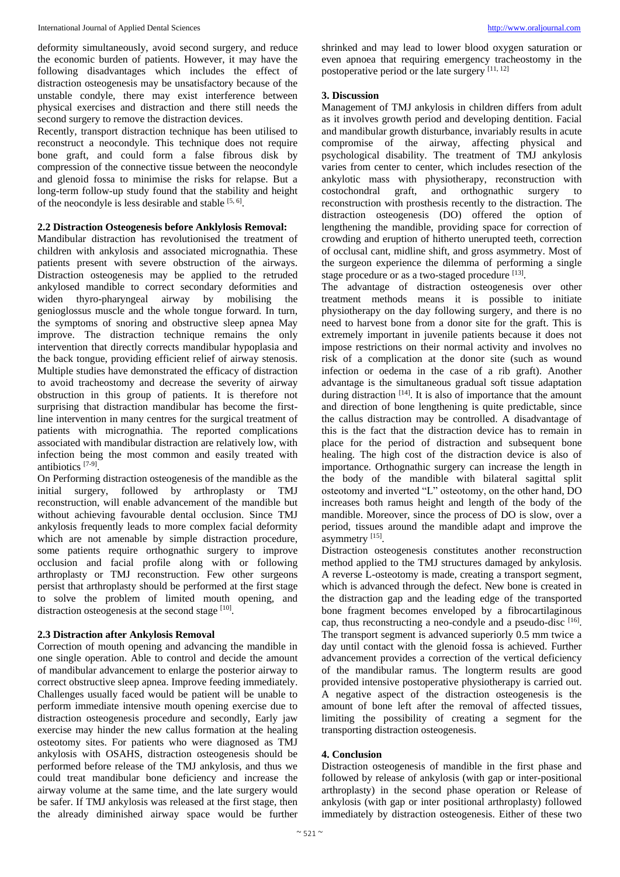deformity simultaneously, avoid second surgery, and reduce the economic burden of patients. However, it may have the following disadvantages which includes the effect of distraction osteogenesis may be unsatisfactory because of the unstable condyle, there may exist interference between physical exercises and distraction and there still needs the second surgery to remove the distraction devices.

Recently, transport distraction technique has been utilised to reconstruct a neocondyle. This technique does not require bone graft, and could form a false fibrous disk by compression of the connective tissue between the neocondyle and glenoid fossa to minimise the risks for relapse. But a long-term follow-up study found that the stability and height of the neocondyle is less desirable and stable [5, 6].

## **2.2 Distraction Osteogenesis before Anklylosis Removal:**

Mandibular distraction has revolutionised the treatment of children with ankylosis and associated micrognathia. These patients present with severe obstruction of the airways. Distraction osteogenesis may be applied to the retruded ankylosed mandible to correct secondary deformities and widen thyro-pharyngeal airway by mobilising the genioglossus muscle and the whole tongue forward. In turn, the symptoms of snoring and obstructive sleep apnea May improve. The distraction technique remains the only intervention that directly corrects mandibular hypoplasia and the back tongue, providing efficient relief of airway stenosis. Multiple studies have demonstrated the efficacy of distraction to avoid tracheostomy and decrease the severity of airway obstruction in this group of patients. It is therefore not surprising that distraction mandibular has become the firstline intervention in many centres for the surgical treatment of patients with micrognathia. The reported complications associated with mandibular distraction are relatively low, with infection being the most common and easily treated with antibiotics [7-9] .

On Performing distraction osteogenesis of the mandible as the initial surgery, followed by arthroplasty or TMJ reconstruction, will enable advancement of the mandible but without achieving favourable dental occlusion. Since TMJ ankylosis frequently leads to more complex facial deformity which are not amenable by simple distraction procedure, some patients require orthognathic surgery to improve occlusion and facial profile along with or following arthroplasty or TMJ reconstruction. Few other surgeons persist that arthroplasty should be performed at the first stage to solve the problem of limited mouth opening, and distraction osteogenesis at the second stage [10].

#### **2.3 Distraction after Ankylosis Removal**

Correction of mouth opening and advancing the mandible in one single operation. Able to control and decide the amount of mandibular advancement to enlarge the posterior airway to correct obstructive sleep apnea. Improve feeding immediately. Challenges usually faced would be patient will be unable to perform immediate intensive mouth opening exercise due to distraction osteogenesis procedure and secondly, Early jaw exercise may hinder the new callus formation at the healing osteotomy sites. For patients who were diagnosed as TMJ ankylosis with OSAHS, distraction osteogenesis should be performed before release of the TMJ ankylosis, and thus we could treat mandibular bone deficiency and increase the airway volume at the same time, and the late surgery would be safer. If TMJ ankylosis was released at the first stage, then the already diminished airway space would be further

shrinked and may lead to lower blood oxygen saturation or even apnoea that requiring emergency tracheostomy in the postoperative period or the late surgery [11, 12]

### **3. Discussion**

Management of TMJ ankylosis in children differs from adult as it involves growth period and developing dentition. Facial and mandibular growth disturbance, invariably results in acute compromise of the airway, affecting physical and psychological disability. The treatment of TMJ ankylosis varies from center to center, which includes resection of the ankylotic mass with physiotherapy, reconstruction with costochondral graft, and orthognathic surgery to reconstruction with prosthesis recently to the distraction. The distraction osteogenesis (DO) offered the option of lengthening the mandible, providing space for correction of crowding and eruption of hitherto unerupted teeth, correction of occlusal cant, midline shift, and gross asymmetry. Most of the surgeon experience the dilemma of performing a single stage procedure or as a two-staged procedure [13].

The advantage of distraction osteogenesis over other treatment methods means it is possible to initiate physiotherapy on the day following surgery, and there is no need to harvest bone from a donor site for the graft. This is extremely important in juvenile patients because it does not impose restrictions on their normal activity and involves no risk of a complication at the donor site (such as wound infection or oedema in the case of a rib graft). Another advantage is the simultaneous gradual soft tissue adaptation during distraction [14]. It is also of importance that the amount and direction of bone lengthening is quite predictable, since the callus distraction may be controlled. A disadvantage of this is the fact that the distraction device has to remain in place for the period of distraction and subsequent bone healing. The high cost of the distraction device is also of importance. Orthognathic surgery can increase the length in the body of the mandible with bilateral sagittal split osteotomy and inverted "L" osteotomy, on the other hand, DO increases both ramus height and length of the body of the mandible. Moreover, since the process of DO is slow, over a period, tissues around the mandible adapt and improve the asymmetry [15].

Distraction osteogenesis constitutes another reconstruction method applied to the TMJ structures damaged by ankylosis. A reverse L-osteotomy is made, creating a transport segment, which is advanced through the defect. New bone is created in the distraction gap and the leading edge of the transported bone fragment becomes enveloped by a fibrocartilaginous cap, thus reconstructing a neo-condyle and a pseudo-disc [16]. The transport segment is advanced superiorly 0.5 mm twice a day until contact with the glenoid fossa is achieved. Further advancement provides a correction of the vertical deficiency of the mandibular ramus. The longterm results are good provided intensive postoperative physiotherapy is carried out. A negative aspect of the distraction osteogenesis is the amount of bone left after the removal of affected tissues, limiting the possibility of creating a segment for the transporting distraction osteogenesis.

## **4. Conclusion**

Distraction osteogenesis of mandible in the first phase and followed by release of ankylosis (with gap or inter-positional arthroplasty) in the second phase operation or Release of ankylosis (with gap or inter positional arthroplasty) followed immediately by distraction osteogenesis. Either of these two